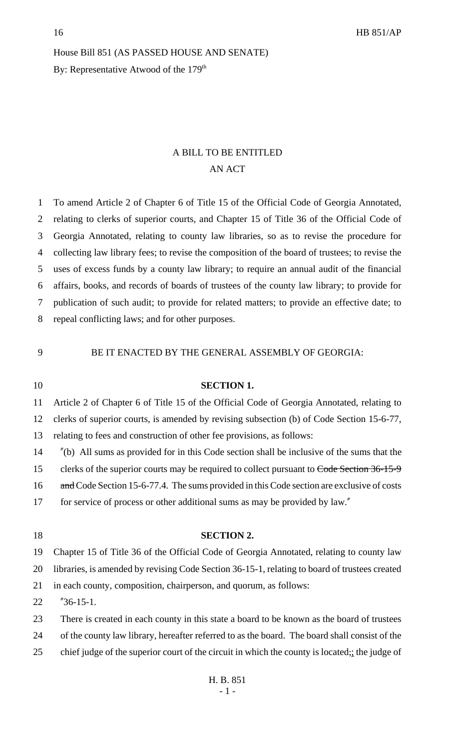# House Bill 851 (AS PASSED HOUSE AND SENATE) By: Representative Atwood of the 179<sup>th</sup>

# A BILL TO BE ENTITLED AN ACT

 To amend Article 2 of Chapter 6 of Title 15 of the Official Code of Georgia Annotated, relating to clerks of superior courts, and Chapter 15 of Title 36 of the Official Code of Georgia Annotated, relating to county law libraries, so as to revise the procedure for collecting law library fees; to revise the composition of the board of trustees; to revise the uses of excess funds by a county law library; to require an annual audit of the financial affairs, books, and records of boards of trustees of the county law library; to provide for publication of such audit; to provide for related matters; to provide an effective date; to repeal conflicting laws; and for other purposes.

## BE IT ENACTED BY THE GENERAL ASSEMBLY OF GEORGIA:

# **SECTION 1.**

Article 2 of Chapter 6 of Title 15 of the Official Code of Georgia Annotated, relating to

clerks of superior courts, is amended by revising subsection (b) of Code Section 15-6-77,

relating to fees and construction of other fee provisions, as follows:

"(b) All sums as provided for in this Code section shall be inclusive of the sums that the

15 clerks of the superior courts may be required to collect pursuant to Code Section 36-15-9

16 and Code Section 15-6-77.4. The sums provided in this Code section are exclusive of costs

for service of process or other additional sums as may be provided by law."

- **SECTION 2.** Chapter 15 of Title 36 of the Official Code of Georgia Annotated, relating to county law libraries, is amended by revising Code Section 36-15-1, relating to board of trustees created in each county, composition, chairperson, and quorum, as follows:
- "36-15-1.
- There is created in each county in this state a board to be known as the board of trustees
- of the county law library, hereafter referred to as the board. The board shall consist of the
- 25 chief judge of the superior court of the circuit in which the county is located; the judge of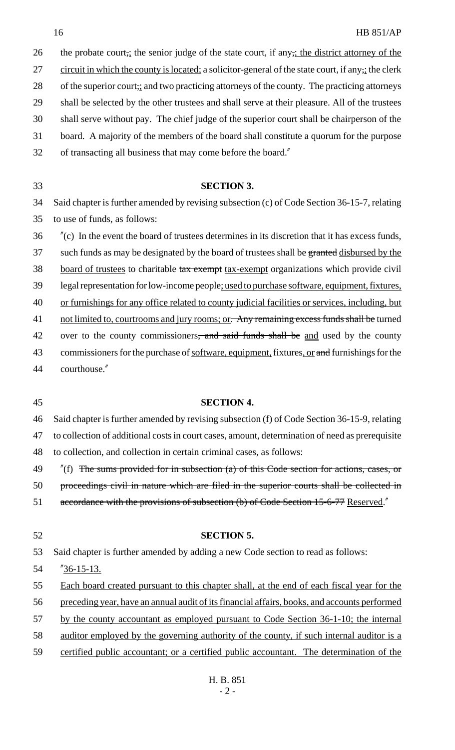26 the probate court, the senior judge of the state court, if any, the district attorney of the 27 circuit in which the county is located; a solicitor-general of the state court, if any<sub>7</sub>; the clerk 28 of the superior court, and two practicing attorneys of the county. The practicing attorneys 29 shall be selected by the other trustees and shall serve at their pleasure. All of the trustees 30 shall serve without pay. The chief judge of the superior court shall be chairperson of the 31 board. A majority of the members of the board shall constitute a quorum for the purpose 32 of transacting all business that may come before the board."

# 33 **SECTION 3.**

34 Said chapter is further amended by revising subsection (c) of Code Section 36-15-7, relating 35 to use of funds, as follows:

36 "(c) In the event the board of trustees determines in its discretion that it has excess funds, 37 such funds as may be designated by the board of trustees shall be granted disbursed by the 38 board of trustees to charitable tax exempt tax-exempt organizations which provide civil 39 legal representation for low-income people; used to purchase software, equipment, fixtures, 40 or furnishings for any office related to county judicial facilities or services, including, but 41 not limited to, courtrooms and jury rooms; or. Any remaining excess funds shall be turned 42 over to the county commissioners, and said funds shall be and used by the county 43 commissioners for the purchase of <u>software, equipment,</u> fixtures, or and furnishings for the

44 courthouse."

## 45 **SECTION 4.**

46 Said chapter is further amended by revising subsection (f) of Code Section 36-15-9, relating

47 to collection of additional costs in court cases, amount, determination of need as prerequisite

48 to collection, and collection in certain criminal cases, as follows:

49 "(f) The sums provided for in subsection (a) of this Code section for actions, cases, or

50 proceedings civil in nature which are filed in the superior courts shall be collected in

51 accordance with the provisions of subsection (b) of Code Section 15-6-77 Reserved."

### 52 **SECTION 5.**

53 Said chapter is further amended by adding a new Code section to read as follows:

54 "36-15-13.

55 Each board created pursuant to this chapter shall, at the end of each fiscal year for the

56 preceding year, have an annual audit of its financial affairs, books, and accounts performed

57 by the county accountant as employed pursuant to Code Section 36-1-10; the internal

- 58 auditor employed by the governing authority of the county, if such internal auditor is a
- 59 certified public accountant; or a certified public accountant. The determination of the